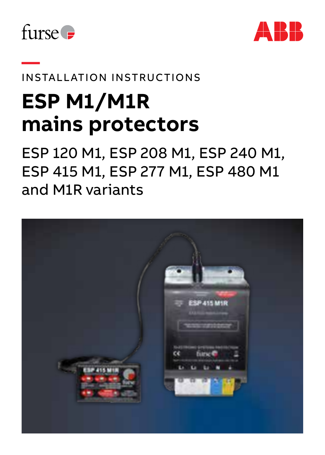



# **—**  INSTALLATION INSTRUCTIONS

# **ESP M1/M1R mains protectors**

ESP 120 M1, ESP 208 M1, ESP 240 M1, ESP 415 M1, ESP 277 M1, ESP 480 M1 and M1R variants

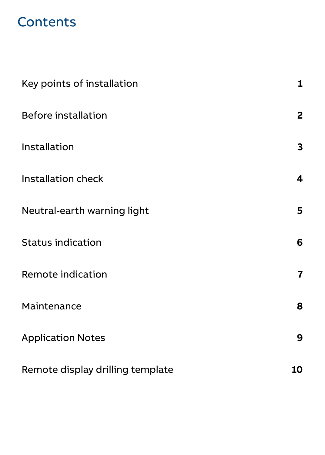# **Contents**

| Key points of installation       | $\mathbf{1}$ |
|----------------------------------|--------------|
| <b>Before installation</b>       | 2            |
| Installation                     | 3            |
| Installation check               | 4            |
| Neutral-earth warning light      | 5            |
| <b>Status indication</b>         | 6            |
| Remote indication                | 7            |
| Maintenance                      | 8            |
| <b>Application Notes</b>         | 9            |
| Remote display drilling template | 10           |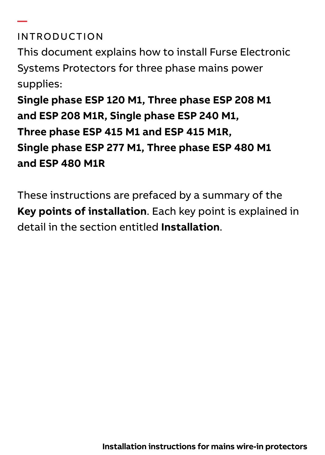#### INTRODUCTION

**—** 

This document explains how to install Furse Electronic Systems Protectors for three phase mains power supplies:

**Single phase ESP 120 M1, Three phase ESP 208 M1 and ESP 208 M1R, Single phase ESP 240 M1, Three phase ESP 415 M1 and ESP 415 M1R, Single phase ESP 277 M1, Three phase ESP 480 M1 and ESP 480 M1R**

These instructions are prefaced by a summary of the **Key points of installation**. Each key point is explained in detail in the section entitled **Installation**.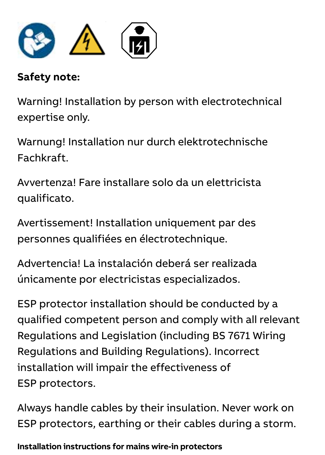

#### **Safety note:** Safety note:

Warning! Installation by person with electrotechnical expertise only.

Warnung! Installation nur durch elektrotechnische Fachkraft.

Avvertenza! Fare installare solo da un elettricista qualificato.

Avertissement! Installation uniquement par des personnes qualifiées en électrotechnique. (terminals can accept up to 25 mm2).

Advertencia! La instalación deberá ser realizada únicamente por electricistas especializados. Never work on ESP protectors, earthing or

ESP protector installation should be conducted by a qualified competent person and comply with all relevant Regulations and Legislation (including BS 7671 Wiring distributions and Building Regulations). Incorrect installation will impair the effectiveness of ESP protectors.

Always handle cables by their insulation. Never work on ESP protectors, earthing or their cables during a storm.

**Installation instructions for mains wire-in protectors**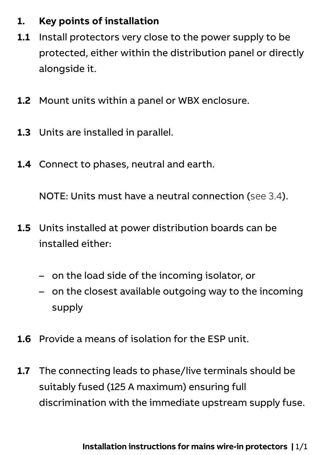#### **1. Key points of installation**

- **1.1** Install protectors very close to the power supply to be protected, either within the distribution panel or directly alongside it.
- **1.2** Mount units within a panel or WBX enclosure.
- **1.3** Units are installed in parallel.
- **1.4** Connect to phases, neutral and earth.

NOTE: Units must have a neutral connection (see 3.4).

- **1.5** Units installed at power distribution boards can be installed either:
	- on the load side of the incoming isolator, or
	- on the closest available outgoing way to the incoming supply
- **1.6** Provide a means of isolation for the ESP unit.
- **1.7** The connecting leads to phase/live terminals should be suitably fused (125 A maximum) ensuring full discrimination with the immediate upstream supply fuse.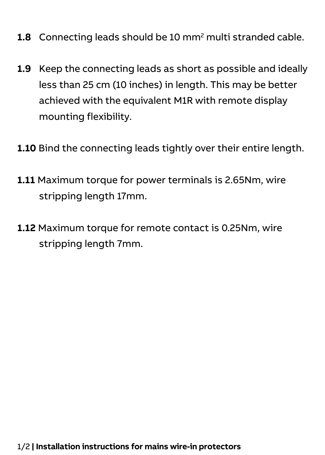- **1.8** Connecting leads should be 10 mm2 multi stranded cable.
- **1.9** Keep the connecting leads as short as possible and ideally less than 25 cm (10 inches) in length. This may be better achieved with the equivalent M1R with remote display mounting flexibility.
- **1.10** Bind the connecting leads tightly over their entire length.
- **1.11** Maximum torque for power terminals is 2.65Nm, wire stripping length 17mm.
- **1.12** Maximum torque for remote contact is 0.25Nm, wire stripping length 7mm.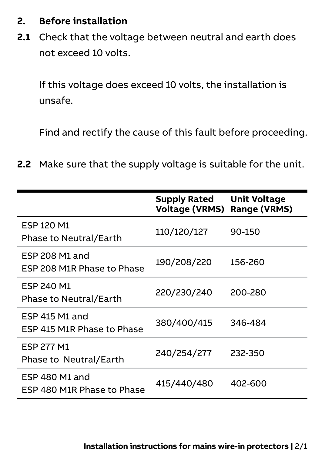#### **2. Before installation**

**2.1** Check that the voltage between neutral and earth does not exceed 10 volts.

If this voltage does exceed 10 volts, the installation is unsafe.

Find and rectify the cause of this fault before proceeding.

**2.2** Make sure that the supply voltage is suitable for the unit.

|                                                     | <b>Supply Rated</b>   | <b>Unit Voltage</b> |
|-----------------------------------------------------|-----------------------|---------------------|
|                                                     | <b>Voltage (VRMS)</b> | Range (VRMS)        |
| ESP 120 M1<br>Phase to Neutral/Earth                | 110/120/127           | 90-150              |
| <b>ESP 208 M1 and</b><br>ESP 208 M1R Phase to Phase | 190/208/220           | 156-260             |
| ESP 240 M1<br>Phase to Neutral/Earth                | 220/230/240           | 200-280             |
| ESP 415 M1 and<br>ESP 415 M1R Phase to Phase        | 380/400/415           | 346-484             |
| <b>FSP 277 M1</b><br>Phase to Neutral/Earth         | 240/254/277           | 232-350             |
| ESP 480 M1 and<br>ESP 480 M1R Phase to Phase        | 415/440/480           | 402-600             |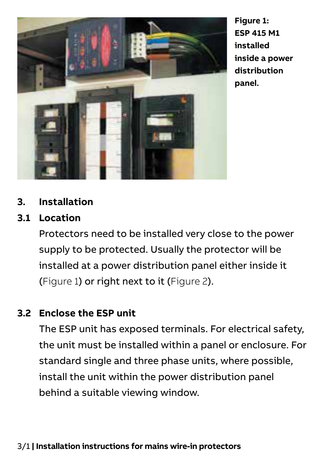

**Figure 1: ESP 415 M1 installed inside a power distribution panel.**

#### **3. Installation**

#### **3.1 Location**

Protectors need to be installed very close to the power supply to be protected. Usually the protector will be installed at a power distribution panel either inside it (Figure 1) or right next to it (Figure 2).

#### **3.2 Enclose the ESP unit**

The ESP unit has exposed terminals. For electrical safety, the unit must be installed within a panel or enclosure. For standard single and three phase units, where possible, install the unit within the power distribution panel behind a suitable viewing window.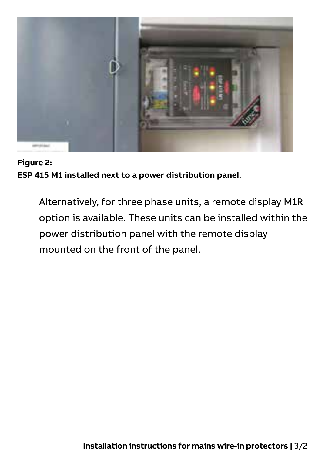

**Figure 2: ESP 415 M1 installed next to a power distribution panel.**

Alternatively, for three phase units, a remote display M1R option is available. These units can be installed within the power distribution panel with the remote display mounted on the front of the panel.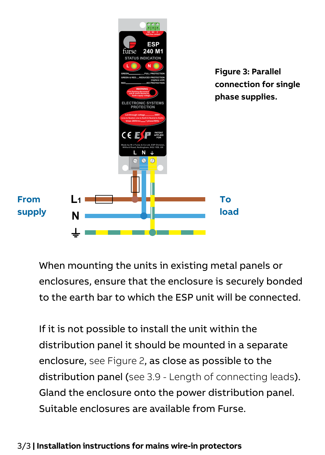

When mounting the units in existing metal panels or enclosures, ensure that the enclosure is securely bonded to the earth bar to which the ESP unit will be connected.

If it is not possible to install the unit within the distribution panel it should be mounted in a separate enclosure, see Figure 2, as close as possible to the distribution panel (see 3.9 - Length of connecting leads). Gland the enclosure onto the power distribution panel. Suitable enclosures are available from Furse.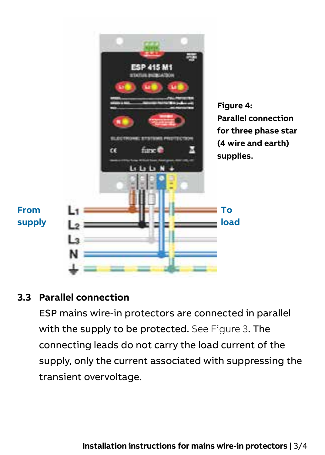

#### **3.3 Parallel connection**

ESP mains wire-in protectors are connected in parallel with the supply to be protected. See Figure 3. The connecting leads do not carry the load current of the supply, only the current associated with suppressing the transient overvoltage.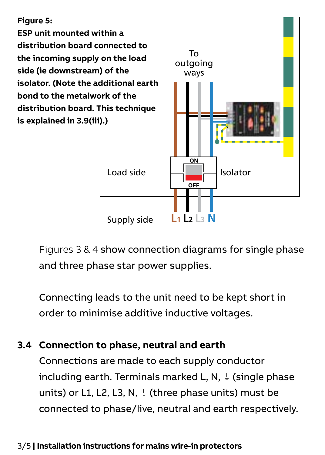#### **Figure 5:**

**ESP unit mounted within a distribution board connected to the incoming supply on the load side (ie downstream) of the isolator. (Note the additional earth bond to the metalwork of the distribution board. This technique is explained in 3.9(iii).)**



Figures 3 & 4 show connection diagrams for single phase and three phase star power supplies.

Connecting leads to the unit need to be kept short in order to minimise additive inductive voltages.

#### **3.4 Connection to phase, neutral and earth**

Connections are made to each supply conductor including earth. Terminals marked L, N,  $\div$  (single phase units) or L1, L2, L3, N,  $\frac{1}{2}$  (three phase units) must be connected to phase/live, neutral and earth respectively.

#### 3/5 **| Installation instructions for mains wire-in protectors**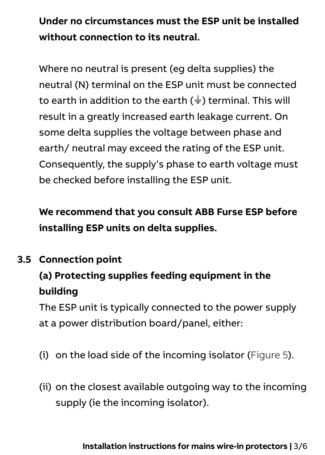### **Under no circumstances must the ESP unit be installed without connection to its neutral.**

Where no neutral is present (eg delta supplies) the neutral (N) terminal on the ESP unit must be connected to earth in addition to the earth ( $\frac{1}{2}$ ) terminal. This will result in a greatly increased earth leakage current. On some delta supplies the voltage between phase and earth/ neutral may exceed the rating of the ESP unit. Consequently, the supply's phase to earth voltage must be checked before installing the ESP unit.

**We recommend that you consult ABB Furse ESP before installing ESP units on delta supplies.**

#### **3.5 Connection point**

### **(a) Protecting supplies feeding equipment in the building**

The ESP unit is typically connected to the power supply at a power distribution board/panel, either:

- (i) on the load side of the incoming isolator (Figure 5).
- (ii) on the closest available outgoing way to the incoming supply (ie the incoming isolator).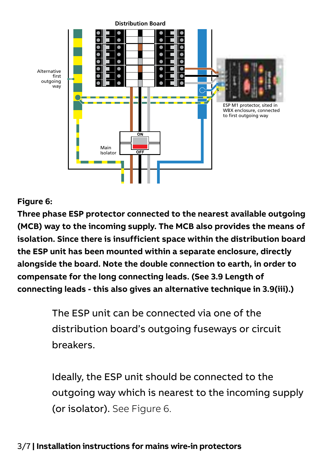

#### **Figure 6:**

Figure 6:<br>Three phase ESP protector connected to the nearest available outgoing **(MCB) way to the incoming supply. The MCB also provides the means of isolation. Since there is insufficient space within the distribution board the ESP unit has been mounted within a separate enclosure, directly alongside the board. Note the double connection to earth, in order to compensate for the long connecting leads. (See 3.9 Length of** 

> The ESP unit can be connected via one of the distribution board's outgoing fuseways or circuit breakers.

 Ideally, the ESP unit should be connected to the outgoing way which is nearest to the incoming supply (or isolator). See Figure 6.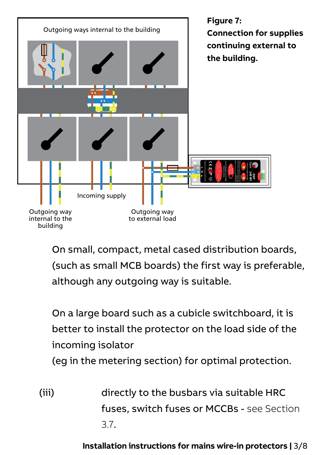

 On small, compact, metal cased distribution boards, (such as small MCB boards) the first way is preferable, although any outgoing way is suitable.

 On a large board such as a cubicle switchboard, it is better to install the protector on the load side of the incoming isolator

(eg in the metering section) for optimal protection.

(iii) directly to the busbars via suitable HRC fuses, switch fuses or MCCBs - see Section 3.7.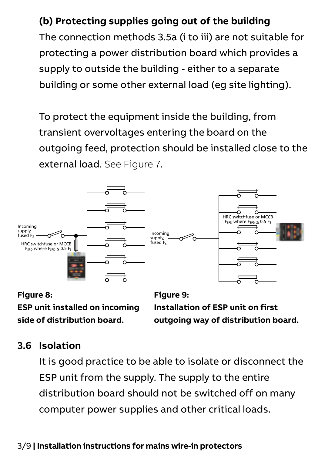#### **(b) Protecting supplies going out of the building**

The connection methods 3.5a (i to iii) are not suitable for protecting a power distribution board which provides a supply to outside the building - either to a separate building or some other external load (eg site lighting).

To protect the equipment inside the building, from transient overvoltages entering the board on the outgoing feed, protection should be installed close to the external load. See Figure 7.



**Figure 8: ESP unit installed on incoming side of distribution board.**

**Figure 9: Installation of ESP unit on first outgoing way of distribution board.**

#### **3.6 Isolation**

It is good practice to be able to isolate or disconnect the ESP unit from the supply. The supply to the entire distribution board should not be switched off on many computer power supplies and other critical loads.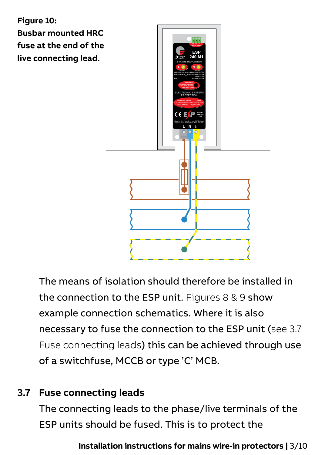

The means of isolation should therefore be installed in the connection to the ESP unit. Figures 8 & 9 show example connection schematics. Where it is also necessary to fuse the connection to the ESP unit (see 3.7 Fuse connecting leads) this can be achieved through use of a switchfuse, MCCB or type 'C' MCB.

#### **3.7 Fuse connecting leads**

The connecting leads to the phase/live terminals of the ESP units should be fused. This is to protect the

**Installation instructions for mains wire-in protectors |** 3/10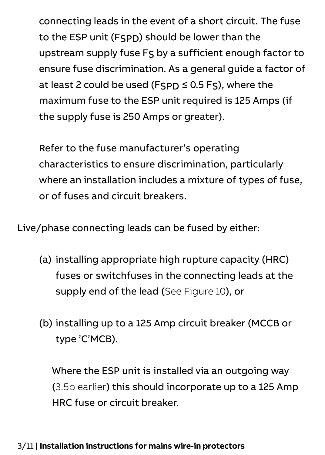connecting leads in the event of a short circuit. The fuse to the ESP unit (FSPD) should be lower than the upstream supply fuse FS by a sufficient enough factor to ensure fuse discrimination. As a general guide a factor of at least 2 could be used (FSPD ≤ 0.5 FS), where the maximum fuse to the ESP unit required is 125 Amps (if the supply fuse is 250 Amps or greater).

Refer to the fuse manufacturer's operating characteristics to ensure discrimination, particularly where an installation includes a mixture of types of fuse, or of fuses and circuit breakers.

Live/phase connecting leads can be fused by either:

- (a) installing appropriate high rupture capacity (HRC) fuses or switchfuses in the connecting leads at the supply end of the lead (See Figure 10), or
- (b) installing up to a 125 Amp circuit breaker (MCCB or type 'C'MCB).

Where the ESP unit is installed via an outgoing way (3.5b earlier) this should incorporate up to a 125 Amp HRC fuse or circuit breaker.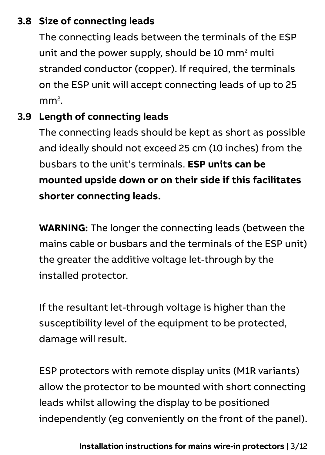#### **3.8 Size of connecting leads**

The connecting leads between the terminals of the ESP unit and the power supply, should be 10 mm2 multi stranded conductor (copper). If required, the terminals on the ESP unit will accept connecting leads of up to 25 mm2 .

#### **3.9 Length of connecting leads**

The connecting leads should be kept as short as possible and ideally should not exceed 25 cm (10 inches) from the busbars to the unit's terminals. **ESP units can be mounted upside down or on their side if this facilitates shorter connecting leads.**

**WARNING:** The longer the connecting leads (between the mains cable or busbars and the terminals of the ESP unit) the greater the additive voltage let-through by the installed protector.

If the resultant let-through voltage is higher than the susceptibility level of the equipment to be protected. damage will result.

ESP protectors with remote display units (M1R variants) allow the protector to be mounted with short connecting leads whilst allowing the display to be positioned independently (eg conveniently on the front of the panel).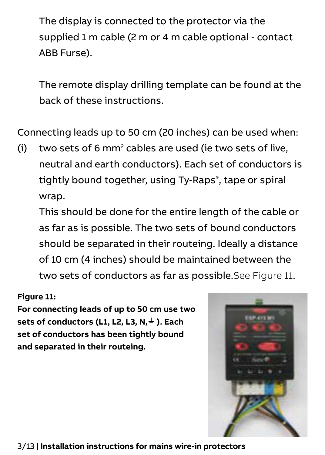The display is connected to the protector via the supplied 1 m cable (2 m or 4 m cable optional - contact ABB Furse).

The remote display drilling template can be found at the back of these instructions.

Connecting leads up to 50 cm (20 inches) can be used when:

 $(i)$  two sets of 6 mm<sup>2</sup> cables are used (ie two sets of live, neutral and earth conductors). Each set of conductors is tightly bound together, using Ty-Raps® , tape or spiral wrap.

This should be done for the entire length of the cable or as far as is possible. The two sets of bound conductors should be separated in their routeing. Ideally a distance of 10 cm (4 inches) should be maintained between the two sets of conductors as far as possible. See Figure 11

#### **Figure 11:**

**For connecting leads of up to 50 cm use two sets of conductors (L1, L2, L3, N,**  $\neq$  **). Each set of conductors has been tightly bound and separated in their routeing.**

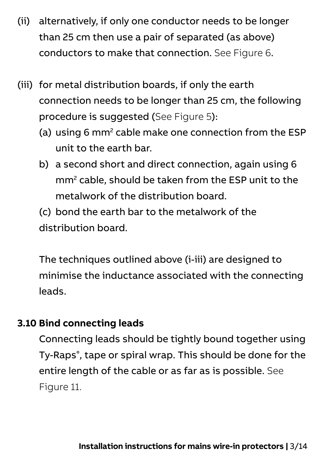- (ii) alternatively, if only one conductor needs to be longer than 25 cm then use a pair of separated (as above) conductors to make that connection. See Figure 6.
- (iii) for metal distribution boards, if only the earth connection needs to be longer than 25 cm, the following procedure is suggested (See Figure 5):
	- (a) using 6 mm<sup>2</sup> cable make one connection from the ESP unit to the earth bar.
	- b) a second short and direct connection, again using 6 mm2 cable, should be taken from the ESP unit to the metalwork of the distribution board.
	- (c) bond the earth bar to the metalwork of the distribution board.

The techniques outlined above (i-iii) are designed to minimise the inductance associated with the connecting leads.

#### **3.10 Bind connecting leads**

Connecting leads should be tightly bound together using Ty-Raps® , tape or spiral wrap. This should be done for the entire length of the cable or as far as is possible. See Figure 11.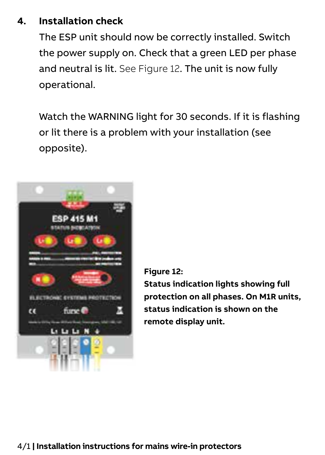#### **4. Installation check**

The ESP unit should now be correctly installed. Switch the power supply on. Check that a green LED per phase and neutral is lit. See Figure 12. The unit is now fully operational.

Watch the WARNING light for 30 seconds. If it is flashing or lit there is a problem with your installation (see opposite).



**Figure 12:**

**Status indication lights showing full protection on all phases. On M1R units, status indication is shown on the remote display unit.**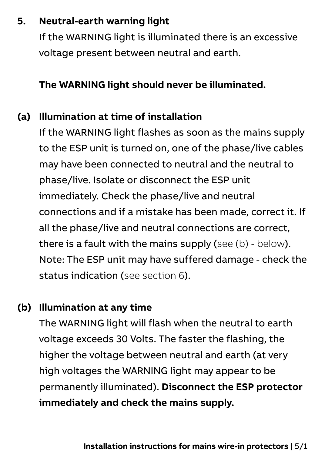#### **5. Neutral-earth warning light**

If the WARNING light is illuminated there is an excessive voltage present between neutral and earth.

#### **The WARNING light should never be illuminated.**

#### **(a) Illumination at time of installation**

If the WARNING light flashes as soon as the mains supply to the ESP unit is turned on, one of the phase/live cables may have been connected to neutral and the neutral to phase/live. Isolate or disconnect the ESP unit immediately. Check the phase/live and neutral connections and if a mistake has been made, correct it. If all the phase/live and neutral connections are correct, there is a fault with the mains supply (see (b) - below). Note: The ESP unit may have suffered damage - check the status indication (see section 6).

#### **(b) Illumination at any time**

The WARNING light will flash when the neutral to earth voltage exceeds 30 Volts. The faster the flashing, the higher the voltage between neutral and earth (at very high voltages the WARNING light may appear to be permanently illuminated). **Disconnect the ESP protector immediately and check the mains supply.**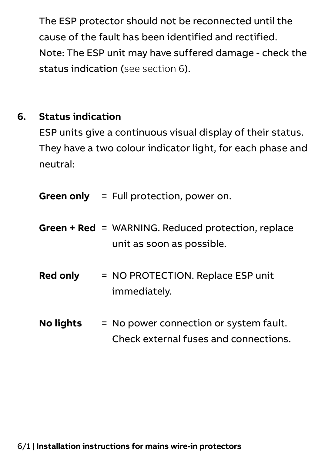The ESP protector should not be reconnected until the cause of the fault has been identified and rectified. Note: The ESP unit may have suffered damage - check the status indication (see section 6).

#### **6. Status indication**

ESP units give a continuous visual display of their status. They have a two colour indicator light, for each phase and neutral:

**Green only** = Full protection, power on.

- **Green + Red** = WARNING. Reduced protection, replace unit as soon as possible.
- **Red only** = NO PROTECTION. Replace ESP unit immediately.
- **No lights** = No power connection or system fault. Check external fuses and connections.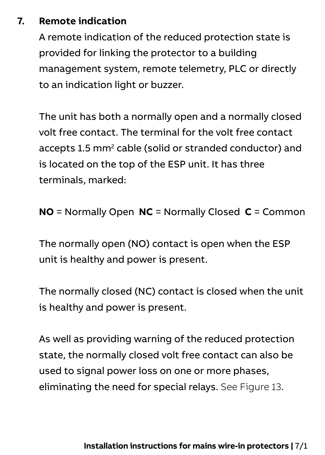#### **7. Remote indication**

A remote indication of the reduced protection state is provided for linking the protector to a building management system, remote telemetry, PLC or directly to an indication light or buzzer.

The unit has both a normally open and a normally closed volt free contact. The terminal for the volt free contact accepts 1.5 mm<sup>2</sup> cable (solid or stranded conductor) and is located on the top of the ESP unit. It has three terminals, marked:

**NO** = Normally Open **NC** = Normally Closed **C** = Common

The normally open (NO) contact is open when the ESP unit is healthy and power is present.

The normally closed (NC) contact is closed when the unit is healthy and power is present.

As well as providing warning of the reduced protection state, the normally closed volt free contact can also be used to signal power loss on one or more phases. eliminating the need for special relays. See Figure 13.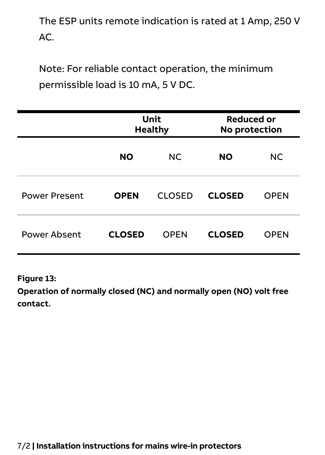The ESP units remote indication is rated at 1 Amp, 250 V AC.

Note: For reliable contact operation, the minimum permissible load is 10 mA, 5 V DC.

|                      | Unit<br>Healthy |        | <b>Reduced or</b><br>No protection |             |
|----------------------|-----------------|--------|------------------------------------|-------------|
|                      | <b>NO</b>       | NC.    | <b>NO</b>                          | NC.         |
| <b>Power Present</b> | <b>OPEN</b>     | CLOSED | <b>CLOSED</b>                      | OPEN        |
| Power Absent         | <b>CLOSED</b>   | OPEN   | <b>CLOSED</b>                      | <b>OPEN</b> |

**Figure 13:**

**Operation of normally closed (NC) and normally open (NO) volt free contact.**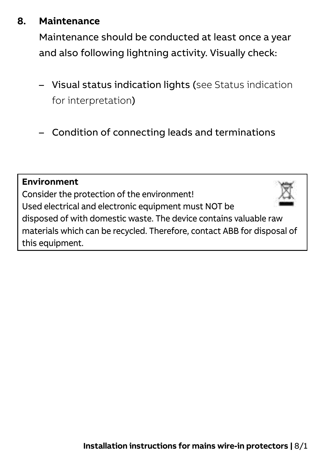#### **8. Maintenance**

Maintenance should be conducted at least once a year and also following lightning activity. Visually check:

- Visual status indication lights (see Status indication for interpretation)
- Condition of connecting leads and terminations

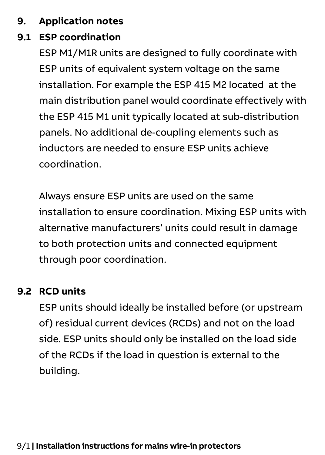#### **9. Application notes**

#### **9.1 ESP coordination**

ESP M1/M1R units are designed to fully coordinate with ESP units of equivalent system voltage on the same installation. For example the ESP 415 M2 located at the main distribution panel would coordinate effectively with the ESP 415 M1 unit typically located at sub-distribution panels. No additional de-coupling elements such as inductors are needed to ensure ESP units achieve coordination.

Always ensure ESP units are used on the same installation to ensure coordination. Mixing ESP units with alternative manufacturers' units could result in damage to both protection units and connected equipment through poor coordination.

#### **9.2 RCD units**

ESP units should ideally be installed before (or upstream of) residual current devices (RCDs) and not on the load side. ESP units should only be installed on the load side of the RCDs if the load in question is external to the building.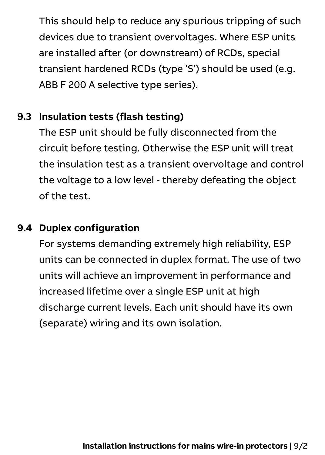This should help to reduce any spurious tripping of such devices due to transient overvoltages. Where ESP units are installed after (or downstream) of RCDs, special transient hardened RCDs (type 'S') should be used (e.g. ABB F 200 A selective type series).

#### **9.3 Insulation tests (flash testing)**

The ESP unit should be fully disconnected from the circuit before testing. Otherwise the ESP unit will treat the insulation test as a transient overvoltage and control the voltage to a low level - thereby defeating the object of the test.

#### **9.4 Duplex configuration**

For systems demanding extremely high reliability, ESP units can be connected in duplex format. The use of two units will achieve an improvement in performance and increased lifetime over a single ESP unit at high discharge current levels. Each unit should have its own (separate) wiring and its own isolation.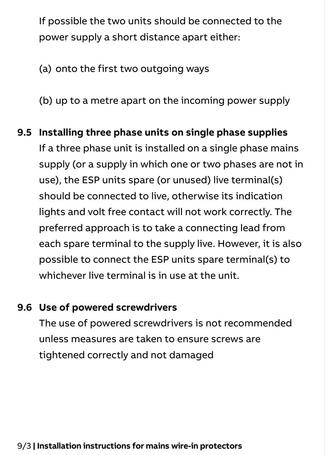If possible the two units should be connected to the power supply a short distance apart either:

(a) onto the first two outgoing ways

(b) up to a metre apart on the incoming power supply

### **9.5 Installing three phase units on single phase supplies**  If a three phase unit is installed on a single phase mains supply (or a supply in which one or two phases are not in use), the ESP units spare (or unused) live terminal(s) should be connected to live, otherwise its indication lights and volt free contact will not work correctly. The preferred approach is to take a connecting lead from each spare terminal to the supply live. However, it is also possible to connect the ESP units spare terminal(s) to whichever live terminal is in use at the unit.

#### **9.6 Use of powered screwdrivers**

The use of powered screwdrivers is not recommended unless measures are taken to ensure screws are tightened correctly and not damaged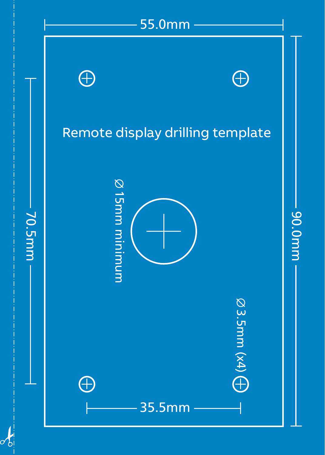